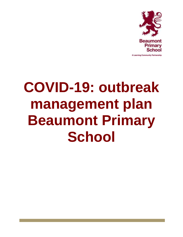

# **COVID-19: outbreak management plan Beaumont Primary School**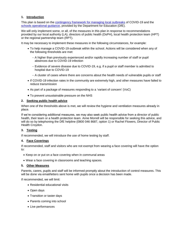# **1. Introduction**

This plan is based on the [contingency framework for managing local outbreaks](https://www.gov.uk/government/publications/coronavirus-covid-19-local-restrictions-in-education-and-childcare-settings) of COVID-19 and the [schools operational guidance,](https://www.gov.uk/government/publications/actions-for-schools-during-the-coronavirus-outbreak) provided by the Department for Education (DfE).

We will only implement some, or all, of the measures in this plan in response to recommendations provided by our local authority (LA), directors of public health (DsPH), local health protection team (HPT) or the regional partnership team (RPT).

It may be necessary to implement these measures in the following circumstances, for example:

- To help manage a COVID-19 outbreak within the school. Actions will be considered when any of the following thresholds are met:
	- A higher than previously experienced and/or rapidly increasing number of staff or pupil absences due to COVID-19 infection
	- Evidence of severe disease due to COVID-19, e.g. if a pupil or staff member is admitted to hospital due to COVID-19
	- A cluster of cases where there are concerns about the health needs of vulnerable pupils or staff
- If COVID-19 infection rates in the community are extremely high, and other measures have failed to reduce transmission
- As part of a package of measures responding to a 'variant of concern' (VoC)
- To prevent unsustainable pressure on the NHS

# **2. Seeking public health advice**

When one of the thresholds above is met, we will review the hygiene and ventilation measures already in place.

If we're considering additional measures, we may also seek public health advice from a director of public health, their team or a health protection team. Anne Morrell will be responsible for seeking this advice, and will do so by telephoning the DfE helpline (0800 046 8687, option 1) or Rachel Flowers, Director of Public Health Croydon.

### **3. Testing**

If recommended, we will introduce the use of home testing by staff.

### **4. Face Coverings**

If recommended, staff and visitors who are not exempt from wearing a face covering will have the option to:

- Keep on or put on a face covering when in communal areas
- Wear a face covering in classrooms and teaching spaces.

### **5. Other Measures**

Parents, carers, pupils and staff will be informed promptly about the introduction of control measures. This will be done via email/letters sent home with pupils once a decision has been made.

If recommended, we will limit:

- Residential educational visits
- Open days
- Transition or taster days
- Parents coming into school
- Live performances